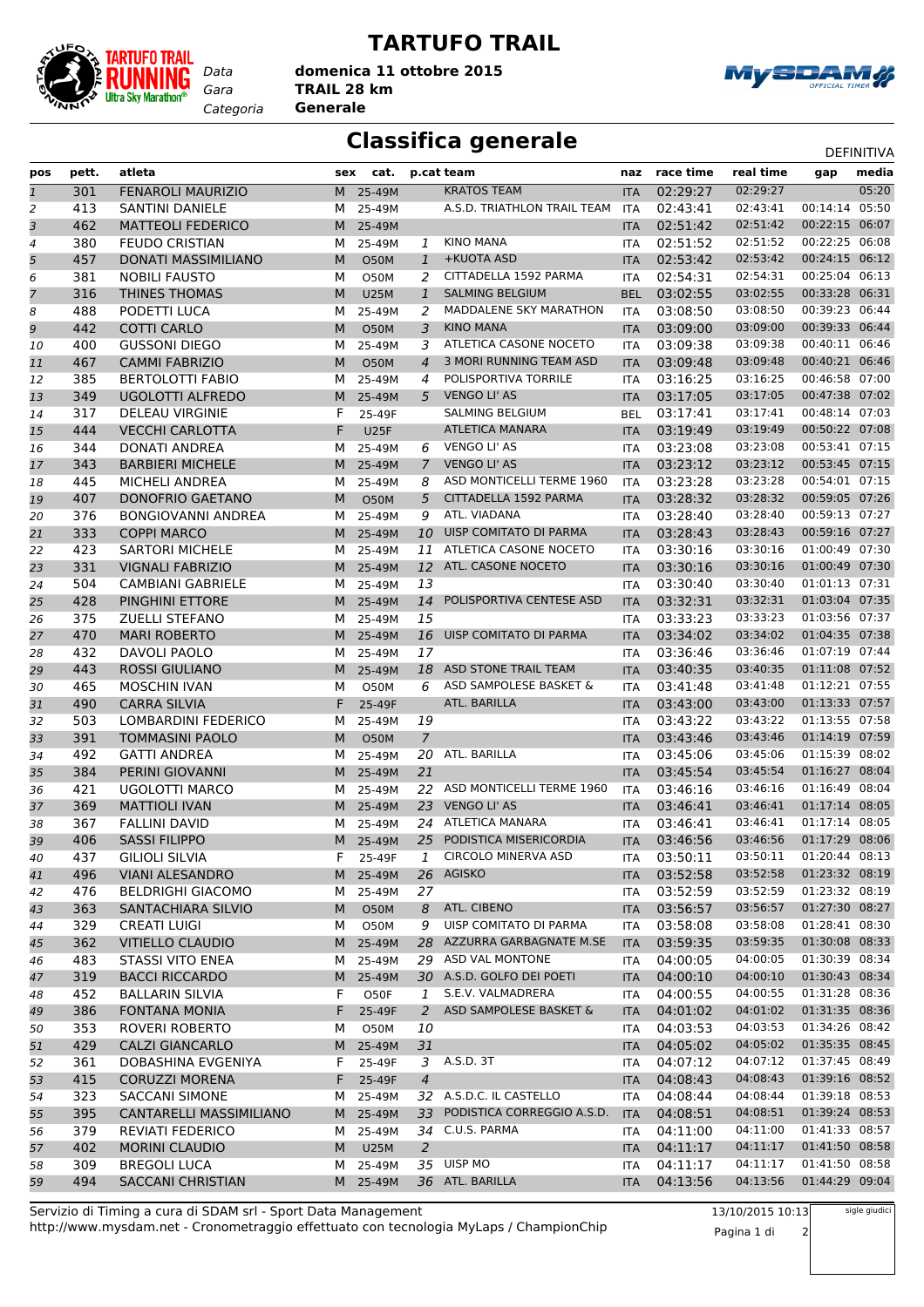

## **TARTUFO TRAIL**

*Gara* **TRAIL 28 km domenica 11 ottobre 2015**

*Categoria* **Generale**



## **Classifica generale** Definitival DEFINITIVA

| pos          | pett. | atleta                     | sex | cat.        |                | p.cat team                    | naz        | race time | real time | gap            | media |
|--------------|-------|----------------------------|-----|-------------|----------------|-------------------------------|------------|-----------|-----------|----------------|-------|
| $\mathbf{1}$ | 301   | <b>FENAROLI MAURIZIO</b>   | M   | 25-49M      |                | <b>KRATOS TEAM</b>            | <b>ITA</b> | 02:29:27  | 02:29:27  |                | 05:20 |
| 2            | 413   | <b>SANTINI DANIELE</b>     | м   | 25-49M      |                | A.S.D. TRIATHLON TRAIL TEAM   | <b>ITA</b> | 02:43:41  | 02:43:41  | 00:14:14       | 05:50 |
| 3            | 462   | <b>MATTEOLI FEDERICO</b>   | M   | 25-49M      |                |                               | <b>ITA</b> | 02:51:42  | 02:51:42  | 00:22:15       | 06:07 |
| 4            | 380   | <b>FEUDO CRISTIAN</b>      | м   | 25-49M      | 1              | <b>KINO MANA</b>              | ITA        | 02:51:52  | 02:51:52  | 00:22:25       | 06:08 |
| 5            | 457   | <b>DONATI MASSIMILIANO</b> | M   | <b>O50M</b> | $\mathbf{1}$   | +KUOTA ASD                    | <b>ITA</b> | 02:53:42  | 02:53:42  | 00:24:15       | 06:12 |
| 6            | 381   | <b>NOBILI FAUSTO</b>       | М   | <b>O50M</b> | 2              | CITTADELLA 1592 PARMA         | <b>ITA</b> | 02:54:31  | 02:54:31  | 00:25:04       | 06:13 |
| 7            | 316   | <b>THINES THOMAS</b>       | M   | <b>U25M</b> | $\mathbf{1}$   | <b>SALMING BELGIUM</b>        | <b>BEL</b> | 03:02:55  | 03:02:55  | 00:33:28 06:31 |       |
|              | 488   | PODETTI LUCA               | М   |             | 2              | MADDALENE SKY MARATHON        |            | 03:08:50  | 03:08:50  | 00:39:23 06:44 |       |
| 8            | 442   | <b>COTTI CARLO</b>         |     | 25-49M      |                | <b>KINO MANA</b>              | <b>ITA</b> | 03:09:00  | 03:09:00  | 00:39:33 06:44 |       |
| 9            | 400   | <b>GUSSONI DIEGO</b>       | M   | <b>O50M</b> | 3              | ATLETICA CASONE NOCETO        | <b>ITA</b> |           | 03:09:38  | 00:40:11 06:46 |       |
| 10           |       |                            | м   | 25-49M      | 3              | 3 MORI RUNNING TEAM ASD       | <b>ITA</b> | 03:09:38  |           | 00:40:21       | 06:46 |
| 11           | 467   | <b>CAMMI FABRIZIO</b>      | M   | <b>O50M</b> | $\overline{4}$ |                               | <b>ITA</b> | 03:09:48  | 03:09:48  |                |       |
| 12           | 385   | <b>BERTOLOTTI FABIO</b>    | М   | 25-49M      | 4              | POLISPORTIVA TORRILE          | <b>ITA</b> | 03:16:25  | 03:16:25  | 00:46:58 07:00 |       |
| 13           | 349   | UGOLOTTI ALFREDO           | M   | 25-49M      | 5              | <b>VENGO LI' AS</b>           | <b>ITA</b> | 03:17:05  | 03:17:05  | 00:47:38 07:02 |       |
| 14           | 317   | <b>DELEAU VIRGINIE</b>     | F   | 25-49F      |                | SALMING BELGIUM               | <b>BEL</b> | 03:17:41  | 03:17:41  | 00:48:14 07:03 |       |
| 15           | 444   | <b>VECCHI CARLOTTA</b>     | F   | <b>U25F</b> |                | <b>ATLETICA MANARA</b>        | <b>ITA</b> | 03:19:49  | 03:19:49  | 00:50:22 07:08 |       |
| 16           | 344   | <b>DONATI ANDREA</b>       | м   | 25-49M      | 6              | VENGO LI' AS                  | ITA        | 03:23:08  | 03:23:08  | 00:53:41 07:15 |       |
| 17           | 343   | <b>BARBIERI MICHELE</b>    | M   | 25-49M      | $7^{\circ}$    | <b>VENGO LI' AS</b>           | <b>ITA</b> | 03:23:12  | 03:23:12  | 00:53:45 07:15 |       |
| 18           | 445   | <b>MICHELI ANDREA</b>      | м   | 25-49M      | 8              | ASD MONTICELLI TERME 1960     | <b>ITA</b> | 03:23:28  | 03:23:28  | 00:54:01 07:15 |       |
| 19           | 407   | DONOFRIO GAETANO           | M   | <b>O50M</b> | 5              | CITTADELLA 1592 PARMA         | <b>ITA</b> | 03:28:32  | 03:28:32  | 00:59:05 07:26 |       |
| 20           | 376   | <b>BONGIOVANNI ANDREA</b>  | м   | 25-49M      | 9              | ATL. VIADANA                  | ITA        | 03:28:40  | 03:28:40  | 00:59:13 07:27 |       |
| 21           | 333   | <b>COPPI MARCO</b>         | M   | 25-49M      | 10             | UISP COMITATO DI PARMA        | <b>ITA</b> | 03:28:43  | 03:28:43  | 00:59:16 07:27 |       |
| 22           | 423   | <b>SARTORI MICHELE</b>     | м   | 25-49M      | 11             | ATLETICA CASONE NOCETO        | <b>ITA</b> | 03:30:16  | 03:30:16  | 01:00:49 07:30 |       |
| 23           | 331   | <b>VIGNALI FABRIZIO</b>    | M   | 25-49M      |                | 12 ATL. CASONE NOCETO         | <b>ITA</b> | 03:30:16  | 03:30:16  | 01:00:49 07:30 |       |
| 24           | 504   | <b>CAMBIANI GABRIELE</b>   | м   | 25-49M      | 13             |                               | ITA        | 03:30:40  | 03:30:40  | 01:01:13 07:31 |       |
| 25           | 428   | PINGHINI ETTORE            | M   | 25-49M      | 14             | POLISPORTIVA CENTESE ASD      | <b>ITA</b> | 03:32:31  | 03:32:31  | 01:03:04 07:35 |       |
| 26           | 375   | ZUELLI STEFANO             | м   | 25-49M      | 15             |                               | ITA        | 03:33:23  | 03:33:23  | 01:03:56 07:37 |       |
| 27           | 470   | <b>MARI ROBERTO</b>        | M   | 25-49M      | 16             | UISP COMITATO DI PARMA        | <b>ITA</b> | 03:34:02  | 03:34:02  | 01:04:35 07:38 |       |
| 28           | 432   | DAVOLI PAOLO               | м   | 25-49M      | 17             |                               | <b>ITA</b> | 03:36:46  | 03:36:46  | 01:07:19 07:44 |       |
| 29           | 443   | <b>ROSSI GIULIANO</b>      | M   | 25-49M      |                | 18 ASD STONE TRAIL TEAM       | <b>ITA</b> | 03:40:35  | 03:40:35  | 01:11:08 07:52 |       |
| 30           | 465   | <b>MOSCHIN IVAN</b>        | м   | <b>O50M</b> | 6              | ASD SAMPOLESE BASKET &        | <b>ITA</b> | 03:41:48  | 03:41:48  | 01:12:21 07:55 |       |
| 31           | 490   | <b>CARRA SILVIA</b>        | F   | 25-49F      |                | ATL. BARILLA                  | <b>ITA</b> | 03:43:00  | 03:43:00  | 01:13:33 07:57 |       |
| 32           | 503   | LOMBARDINI FEDERICO        | М   | 25-49M      | 19             |                               | <b>ITA</b> | 03:43:22  | 03:43:22  | 01:13:55 07:58 |       |
| 33           | 391   | TOMMASINI PAOLO            | M   | <b>O50M</b> | 7              |                               | <b>ITA</b> | 03:43:46  | 03:43:46  | 01:14:19 07:59 |       |
| 34           | 492   | <b>GATTI ANDREA</b>        | м   | 25-49M      | 20             | ATL. BARILLA                  | <b>ITA</b> | 03:45:06  | 03:45:06  | 01:15:39 08:02 |       |
| 35           | 384   | PERINI GIOVANNI            | M   | 25-49M      | 21             |                               | <b>ITA</b> | 03:45:54  | 03:45:54  | 01:16:27       | 08:04 |
| 36           | 421   | UGOLOTTI MARCO             | м   | 25-49M      |                | 22 ASD MONTICELLI TERME 1960  | <b>ITA</b> | 03:46:16  | 03:46:16  | 01:16:49 08:04 |       |
| 37           | 369   | <b>MATTIOLI IVAN</b>       | M   | 25-49M      |                | 23 VENGO LI' AS               | <b>ITA</b> | 03:46:41  | 03:46:41  | 01:17:14 08:05 |       |
| 38           | 367   | <b>FALLINI DAVID</b>       | м   | 25-49M      |                | 24 ATLETICA MANARA            | <b>ITA</b> | 03:46:41  | 03:46:41  | 01:17:14 08:05 |       |
| 39           | 406   | <b>SASSI FILIPPO</b>       | M   | 25-49M      | 25             | PODISTICA MISERICORDIA        | <b>ITA</b> | 03:46:56  | 03:46:56  | 01:17:29 08:06 |       |
| 40           | 437   | <b>GILIOLI SILVIA</b>      | Н,  | 25-49F      | 1              | <b>CIRCOLO MINERVA ASD</b>    | ITA        | 03:50:11  | 03:50:11  | 01:20:44 08:13 |       |
| 41           | 496   | <b>VIANI ALESANDRO</b>     | M   | 25-49M      |                | 26 AGISKO                     | <b>ITA</b> | 03:52:58  | 03:52:58  | 01:23:32 08:19 |       |
| 42           | 476   | <b>BELDRIGHI GIACOMO</b>   | м   | 25-49M      | 27             |                               | <b>ITA</b> | 03:52:59  | 03:52:59  | 01:23:32 08:19 |       |
| 43           | 363   | SANTACHIARA SILVIO         | M   | O50M        | 8              | ATL. CIBENO                   | <b>ITA</b> | 03:56:57  | 03:56:57  | 01:27:30 08:27 |       |
| 44           | 329   | <b>CREATI LUIGI</b>        | М   | O50M        | 9              | UISP COMITATO DI PARMA        | ITA        | 03:58:08  | 03:58:08  | 01:28:41 08:30 |       |
| 45           | 362   | <b>VITIELLO CLAUDIO</b>    | M   | 25-49M      | 28             | AZZURRA GARBAGNATE M.SE       | <b>ITA</b> | 03:59:35  | 03:59:35  | 01:30:08 08:33 |       |
| 46           | 483   | <b>STASSI VITO ENEA</b>    | м   | 25-49M      |                | 29 ASD VAL MONTONE            | ITA        | 04:00:05  | 04:00:05  | 01:30:39 08:34 |       |
| 47           | 319   | <b>BACCI RICCARDO</b>      | M   | 25-49M      |                | 30 A.S.D. GOLFO DEI POETI     | <b>ITA</b> | 04:00:10  | 04:00:10  | 01:30:43 08:34 |       |
| 48           | 452   | <b>BALLARIN SILVIA</b>     | F   | O50F        | 1              | S.E.V. VALMADRERA             | ITA        | 04:00:55  | 04:00:55  | 01:31:28 08:36 |       |
| 49           | 386   | <b>FONTANA MONIA</b>       | F.  | 25-49F      | $\overline{a}$ | ASD SAMPOLESE BASKET &        | <b>ITA</b> | 04:01:02  | 04:01:02  | 01:31:35 08:36 |       |
| 50           | 353   | ROVERI ROBERTO             | М   | O50M        | 10             |                               | ITA        | 04:03:53  | 04:03:53  | 01:34:26 08:42 |       |
| 51           | 429   | <b>CALZI GIANCARLO</b>     | M   | 25-49M      | 31             |                               | <b>ITA</b> | 04:05:02  | 04:05:02  | 01:35:35 08:45 |       |
| 52           | 361   | DOBASHINA EVGENIYA         | F.  | 25-49F      | 3              | A.S.D. 3T                     | ITA        | 04:07:12  | 04:07:12  | 01:37:45 08:49 |       |
| 53           | 415   | <b>CORUZZI MORENA</b>      | F.  | 25-49F      | $\overline{4}$ |                               | <b>ITA</b> | 04:08:43  | 04:08:43  | 01:39:16 08:52 |       |
| 54           | 323   | <b>SACCANI SIMONE</b>      | M   | 25-49M      |                | 32 A.S.D.C. IL CASTELLO       | ITA        | 04:08:44  | 04:08:44  | 01:39:18 08:53 |       |
| 55           | 395   | CANTARELLI MASSIMILIANO    | M   | 25-49M      |                | 33 PODISTICA CORREGGIO A.S.D. | <b>ITA</b> | 04:08:51  | 04:08:51  | 01:39:24 08:53 |       |
|              | 379   | REVIATI FEDERICO           | м   | 25-49M      |                | 34 C.U.S. PARMA               | ITA        | 04:11:00  | 04:11:00  | 01:41:33 08:57 |       |
| 56           | 402   | <b>MORINI CLAUDIO</b>      | M   | <b>U25M</b> | 2              |                               |            | 04:11:17  | 04:11:17  | 01:41:50 08:58 |       |
| 57           |       |                            |     |             |                | 35 UISP MO                    | <b>ITA</b> |           | 04:11:17  | 01:41:50 08:58 |       |
| 58           | 309   | <b>BREGOLI LUCA</b>        | M   | 25-49M      |                |                               | ITA        | 04:11:17  |           | 01:44:29 09:04 |       |
| 59           | 494   | SACCANI CHRISTIAN          |     | M 25-49M    |                | 36 ATL. BARILLA               | <b>ITA</b> | 04:13:56  | 04:13:56  |                |       |

http://www.mysdam.net - Cronometraggio effettuato con tecnologia MyLaps / ChampionChip Servizio di Timing a cura di SDAM srl - Sport Data Management

13/10/2015 10:13 Pagina 1 di 2 sigle giudici